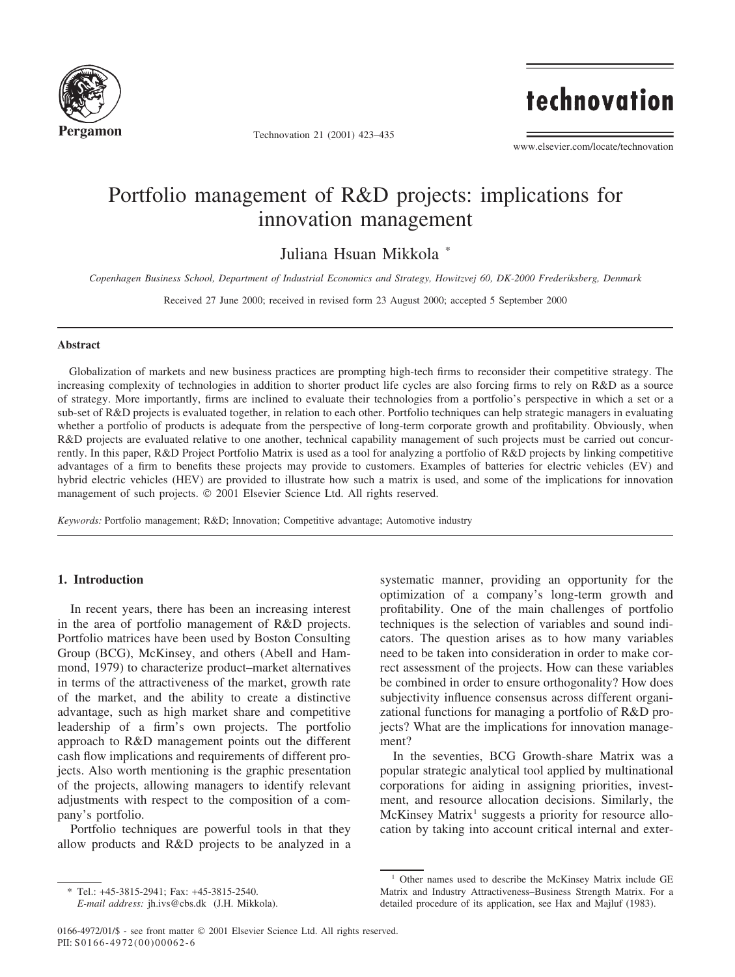

Technovation 21 (2001) 423–435

www.elsevier.com/locate/technovation

# Portfolio management of R&D projects: implications for innovation management

Juliana Hsuan Mikkola \*

*Copenhagen Business School, Department of Industrial Economics and Strategy, Howitzvej 60, DK-2000 Frederiksberg, Denmark*

Received 27 June 2000; received in revised form 23 August 2000; accepted 5 September 2000

### **Abstract**

Globalization of markets and new business practices are prompting high-tech firms to reconsider their competitive strategy. The increasing complexity of technologies in addition to shorter product life cycles are also forcing firms to rely on R&D as a source of strategy. More importantly, firms are inclined to evaluate their technologies from a portfolio's perspective in which a set or a sub-set of R&D projects is evaluated together, in relation to each other. Portfolio techniques can help strategic managers in evaluating whether a portfolio of products is adequate from the perspective of long-term corporate growth and profitability. Obviously, when R&D projects are evaluated relative to one another, technical capability management of such projects must be carried out concurrently. In this paper, R&D Project Portfolio Matrix is used as a tool for analyzing a portfolio of R&D projects by linking competitive advantages of a firm to benefits these projects may provide to customers. Examples of batteries for electric vehicles (EV) and hybrid electric vehicles (HEV) are provided to illustrate how such a matrix is used, and some of the implications for innovation management of such projects.  $© 2001$  Elsevier Science Ltd. All rights reserved.

*Keywords:* Portfolio management; R&D; Innovation; Competitive advantage; Automotive industry

## **1. Introduction**

In recent years, there has been an increasing interest in the area of portfolio management of R&D projects. Portfolio matrices have been used by Boston Consulting Group (BCG), McKinsey, and others (Abell and Hammond, 1979) to characterize product–market alternatives in terms of the attractiveness of the market, growth rate of the market, and the ability to create a distinctive advantage, such as high market share and competitive leadership of a firm's own projects. The portfolio approach to R&D management points out the different cash flow implications and requirements of different projects. Also worth mentioning is the graphic presentation of the projects, allowing managers to identify relevant adjustments with respect to the composition of a company's portfolio.

Portfolio techniques are powerful tools in that they allow products and R&D projects to be analyzed in a systematic manner, providing an opportunity for the optimization of a company's long-term growth and profitability. One of the main challenges of portfolio techniques is the selection of variables and sound indicators. The question arises as to how many variables need to be taken into consideration in order to make correct assessment of the projects. How can these variables be combined in order to ensure orthogonality? How does subjectivity influence consensus across different organizational functions for managing a portfolio of R&D projects? What are the implications for innovation management?

In the seventies, BCG Growth-share Matrix was a popular strategic analytical tool applied by multinational corporations for aiding in assigning priorities, investment, and resource allocation decisions. Similarly, the McKinsey Matrix<sup>1</sup> suggests a priority for resource allocation by taking into account critical internal and exter-

Tel.: +45-3815-2941; Fax: +45-3815-2540.

*E-mail address:* jh.ivs@cbs.dk (J.H. Mikkola).

<sup>&</sup>lt;sup>1</sup> Other names used to describe the McKinsey Matrix include GE Matrix and Industry Attractiveness–Business Strength Matrix. For a detailed procedure of its application, see Hax and Majluf (1983).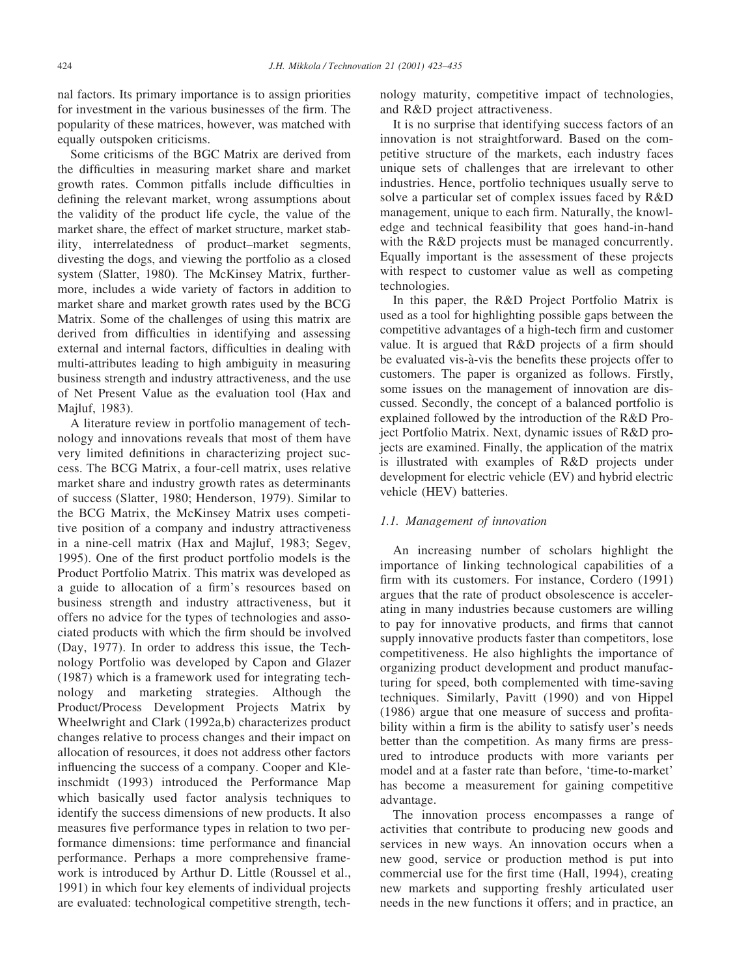nal factors. Its primary importance is to assign priorities for investment in the various businesses of the firm. The popularity of these matrices, however, was matched with equally outspoken criticisms.

Some criticisms of the BGC Matrix are derived from the difficulties in measuring market share and market growth rates. Common pitfalls include difficulties in defining the relevant market, wrong assumptions about the validity of the product life cycle, the value of the market share, the effect of market structure, market stability, interrelatedness of product–market segments, divesting the dogs, and viewing the portfolio as a closed system (Slatter, 1980). The McKinsey Matrix, furthermore, includes a wide variety of factors in addition to market share and market growth rates used by the BCG Matrix. Some of the challenges of using this matrix are derived from difficulties in identifying and assessing external and internal factors, difficulties in dealing with multi-attributes leading to high ambiguity in measuring business strength and industry attractiveness, and the use of Net Present Value as the evaluation tool (Hax and Majluf, 1983).

A literature review in portfolio management of technology and innovations reveals that most of them have very limited definitions in characterizing project success. The BCG Matrix, a four-cell matrix, uses relative market share and industry growth rates as determinants of success (Slatter, 1980; Henderson, 1979). Similar to the BCG Matrix, the McKinsey Matrix uses competitive position of a company and industry attractiveness in a nine-cell matrix (Hax and Majluf, 1983; Segev, 1995). One of the first product portfolio models is the Product Portfolio Matrix. This matrix was developed as a guide to allocation of a firm's resources based on business strength and industry attractiveness, but it offers no advice for the types of technologies and associated products with which the firm should be involved (Day, 1977). In order to address this issue, the Technology Portfolio was developed by Capon and Glazer (1987) which is a framework used for integrating technology and marketing strategies. Although the Product/Process Development Projects Matrix by Wheelwright and Clark (1992a,b) characterizes product changes relative to process changes and their impact on allocation of resources, it does not address other factors influencing the success of a company. Cooper and Kleinschmidt (1993) introduced the Performance Map which basically used factor analysis techniques to identify the success dimensions of new products. It also measures five performance types in relation to two performance dimensions: time performance and financial performance. Perhaps a more comprehensive framework is introduced by Arthur D. Little (Roussel et al., 1991) in which four key elements of individual projects are evaluated: technological competitive strength, technology maturity, competitive impact of technologies, and R&D project attractiveness.

It is no surprise that identifying success factors of an innovation is not straightforward. Based on the competitive structure of the markets, each industry faces unique sets of challenges that are irrelevant to other industries. Hence, portfolio techniques usually serve to solve a particular set of complex issues faced by R&D management, unique to each firm. Naturally, the knowledge and technical feasibility that goes hand-in-hand with the R&D projects must be managed concurrently. Equally important is the assessment of these projects with respect to customer value as well as competing technologies.

In this paper, the R&D Project Portfolio Matrix is used as a tool for highlighting possible gaps between the competitive advantages of a high-tech firm and customer value. It is argued that R&D projects of a firm should be evaluated vis-à-vis the benefits these projects offer to customers. The paper is organized as follows. Firstly, some issues on the management of innovation are discussed. Secondly, the concept of a balanced portfolio is explained followed by the introduction of the R&D Project Portfolio Matrix. Next, dynamic issues of R&D projects are examined. Finally, the application of the matrix is illustrated with examples of R&D projects under development for electric vehicle (EV) and hybrid electric vehicle (HEV) batteries.

### *1.1. Management of innovation*

An increasing number of scholars highlight the importance of linking technological capabilities of a firm with its customers. For instance, Cordero (1991) argues that the rate of product obsolescence is accelerating in many industries because customers are willing to pay for innovative products, and firms that cannot supply innovative products faster than competitors, lose competitiveness. He also highlights the importance of organizing product development and product manufacturing for speed, both complemented with time-saving techniques. Similarly, Pavitt (1990) and von Hippel (1986) argue that one measure of success and profitability within a firm is the ability to satisfy user's needs better than the competition. As many firms are pressured to introduce products with more variants per model and at a faster rate than before, 'time-to-market' has become a measurement for gaining competitive advantage.

The innovation process encompasses a range of activities that contribute to producing new goods and services in new ways. An innovation occurs when a new good, service or production method is put into commercial use for the first time (Hall, 1994), creating new markets and supporting freshly articulated user needs in the new functions it offers; and in practice, an